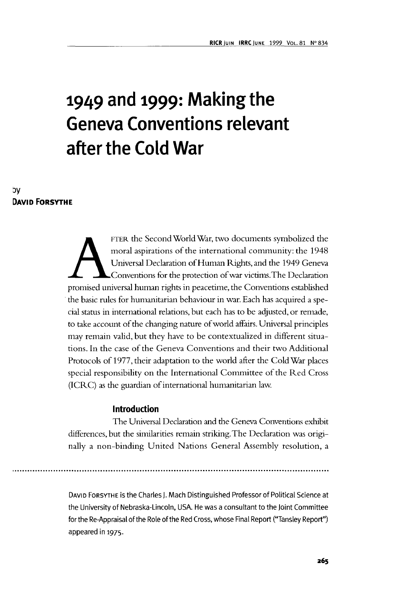# **1949 and 1999: Making the Geneva Conventions relevant after the Cold War**

# **by DAVID FORSYTHE**

FTER the Second World War, two documents symbolized the<br>moral aspirations of the international community: the 1948<br>Universal Declaration of Human Rights, and the 1949 Geneva<br>Conventions for the protection of war victims. T moral aspirations of the international community: the 1948 Universal Declaration of Human Rights, and the 1949 Geneva Conventions for the protection of war victims.The Declaration the basic rules for humanitarian behaviour in war. Each has acquired a special status in international relations, but each has to be adjusted, or remade, to take account of the changing nature of world affairs. Universal principles may remain valid, but they have to be contextualized in different situations. In the case of the Geneva Conventions and their two Additional Protocols of 1977, their adaptation to the world after the Cold War places special responsibility on the International Committee of the Red Cross (ICRC) as the guardian of international humanitarian law.

## **Introduction**

The Universal Declaration and the Geneva Conventions exhibit differences, but the similarities remain striking. The Declaration was originally a non-binding United Nations General Assembly resolution, a

DAVID FORSYTHE is the Charles J. Mach Distinguished Professor of Political Science at the University of Nebraska-Lincoln, USA. He was a consultant to the Joint Committee for the Re-Appraisal of the Role of the Red Cross, whose Final Report ("Tansley Report") appeared in 1975.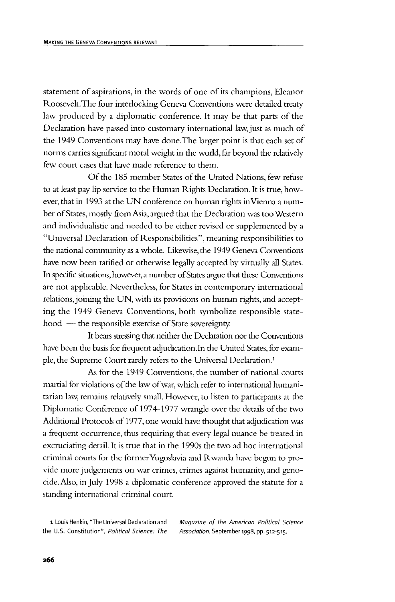statement of aspirations, in the words of one of its champions, Eleanor Roosevelt. The four interlocking Geneva Conventions were detailed treaty law produced by a diplomatic conference. It may be that parts of the Declaration have passed into customary international law, just as much of the 1949 Conventions may have done.The larger point is that each set of norms carries significant moral weight in the world, far beyond the relatively few court cases that have made reference to them.

Of the 185 member States of the United Nations, few refuse to at least pay lip service to the Human Rights Declaration. It is true, however, that in 1993 at the UN conference on human rights in Vienna a number of States, mosdy from Asia, argued that the Declaration was too Western and individualistic and needed to be either revised or supplemented by a "Universal Declaration of Responsibilities", meaning responsibilities to the national community as a whole. Likewise, the 1949 Geneva Conventions have now been ratified or otherwise legally accepted by virtually all States. In specific situations, however, a number of States argue that these Conventions are not applicable. Nevertheless, for States in contemporary international relations, joining the UN, with its provisions on human rights, and accepting the 1949 Geneva Conventions, both symbolize responsible statehood — the responsible exercise of State sovereignty.

It bears stressing that neither the Declaration nor the Conventions have been the basis for frequent adjudication. In the United States, for example, the Supreme Court rarely refers to the Universal Declaration.<sup>1</sup>

As for the 1949 Conventions, the number of national courts martial for violations of the law of war, which refer to international humanitarian law, remains relatively small. However, to listen to participants at the Diplomatic Conference of 1974-1977 wrangle over the details of the two Additional Protocols of 1977, one would have thought that adjudication was a frequent occurrence, thus requiring that every legal nuance be treated in excruciating detail. It is true that in the 1990s the two ad hoc international criminal courts for the former Yugoslavia and Rwanda have begun to provide more judgements on war crimes, crimes against humanity, and genocide. Also, in July 1998 a diplomatic conference approved the statute for a standing international criminal court.

1 Louis Henkin, "The Universal Declaration and Magazine of the American Political Science the U.S. Constitution", Political Science: The Association, September 1998, pp. 512-515.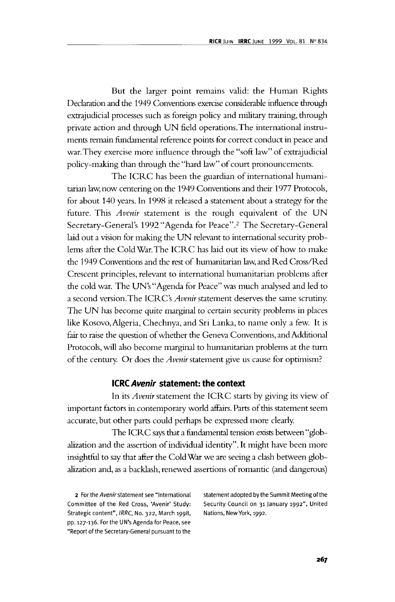But the larger point remains valid: the Human Rights Declaration and the 1949 Conventions exercise considerable influence through extrajudicial processes such as foreign policy and military training, through private action and through UN field operations. The international instruments remain fundamental reference points for correct conduct in peace and war. They exercise more influence through the "soft law" of extrajudicial policy-making than through the "hard law" of court pronouncements.

The ICRC has been the guardian of international humanitarian law, now centering on the 1949 Conventions and their 1977 Protocols, for about 140 years. In 1998 it released a statement about a strategy for the future. This *Avenir* statement is the rough equivalent of the UN Secretary-General's 1992 "Agenda for Peace".<sup>2</sup> The Secretary-General laid out a vision for making the UN relevant to international security problems after the Cold War. The ICRC has laid out its view of how to make the 1949 Conventions and the rest of humanitarian law, and Red Cross/Red Crescent principles, relevant to international humanitarian problems after the cold war. The UN's "Agenda for Peace" was much analysed and led to a second version. The ICRC's *Avenir* statement deserves the same scrutiny. The UN has become quite marginal to certain security problems in places like Kosovo, Algeria, Chechnya, and Sri Lanka, to name only a few. It is fair to raise the question of whether the Geneva Conventions, and Additional Protocols, will also become marginal to humanitarian problems at the turn of the century. Or does the *Avenir* statement give us cause for optimism?

### **ICRC Avenir statement: the context**

In its *Avenir* statement the ICRC starts by giving its view of important factors in contemporary world affairs. Parts of this statement seem accurate, but other parts could perhaps be expressed more clearly.

The ICRC says that a fundamental tension exists between "globalization and the assertion of individual identity". It might have been more insightful to say that after the Cold War we are seeing a clash between globalization and, as a backlash, renewed assertions of romantic (and dangerous)

Committee of the Red Cross, 'Avenir' Study: Security Council on 31 January 1992", United Strategic content", IRRC, No. 322, March 1998, Nations, New York, 1992. pp. 127-136. For the UN's Agenda for Peace, see "Report of the Secretary-General pursuant to the

2 For the Avenir statement see "International statement adopted by the Summit Meeting of the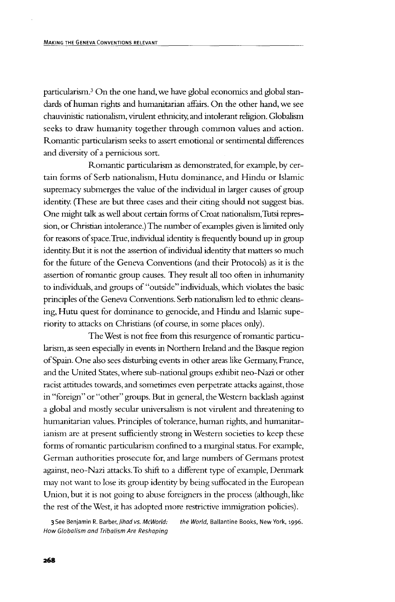particularism.3 On the one hand, we have global economics and global standards of human rights and humanitarian affairs. On the other hand, we see chauvinistic nationalism, virulent ethnicity, and intolerant religion. Globalism seeks to draw humanity together through common values and action. Romantic particularism seeks to assert emotional or sentimental differences and diversity of a pernicious sort.

Romantic particularism as demonstrated, for example, by certain forms of Serb nationalism, Hutu dominance, and Hindu or Islamic supremacy submerges the value of the individual in larger causes of group identity. (These are but three cases and their citing should not suggest bias. One might talk as well about certain forms of Croat nationalism,Tutsi repression, or Christian intolerance.) The number of examples given is limited only for reasons of space. True, individual identity is frequently bound up in group identity. But it is not the assertion of individual identity that matters so much for the future of the Geneva Conventions (and their Protocols) as it is the assertion of romantic group causes. They result all too often in inhumanity to individuals, and groups of "outside" individuals, which violates the basic principles of the Geneva Conventions. Serb nationalism led to ethnic cleansing, Hutu quest for dominance to genocide, and Hindu and Islamic superiority to attacks on Christians (of course, in some places only).

The West is not free from this resurgence of romantic particularism, as seen especially in events in Northern Ireland and the Basque region of Spain. One also sees disturbing events in other areas like Germany, France, and the United States, where sub-national groups exhibit neo-Nazi or other racist attitudes towards, and sometimes even perpetrate attacks against, those in "foreign" or "other" groups. But in general, the Western backlash against a global and mostly secular universalism is not virulent and threatening to humanitarian values. Principles of tolerance, human rights, and humanitarianism are at present sufficiently strong in Western societies to keep these forms of romantic particularism confined to a marginal status. For example, German authorities prosecute for, and large numbers of Germans protest against, neo-Nazi attacks.To shift to a different type of example, Denmark may not want to lose its group identity by being suffocated in the European Union, but it is not going to abuse foreigners in the process (although, like the rest of the West, it has adopted more restrictive immigration policies).

3 See Benjamin R. Barber, *Jihad vs. McWorld: the World*, Ballantine Books, New York, 1996. How Globalism and Tribalism Are Reshaping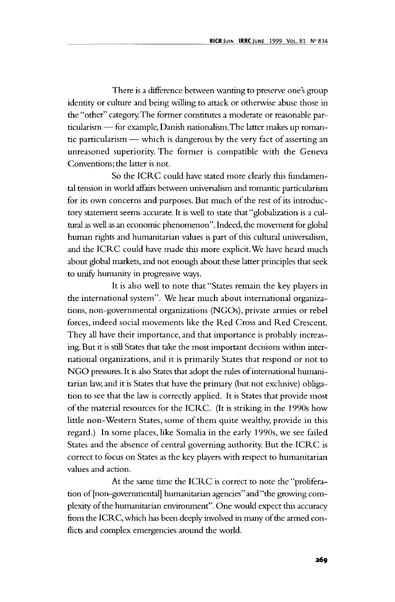There is a difference between wanting to preserve one's group identity or culture and being willing to attack or otherwise abuse those in the "other" category.The former constitutes a moderate or reasonable particularism — for example, Danish nationalism. The latter makes up romantic particularism — which is dangerous by the very fact of asserting an unreasoned superiority. The former is compatible with the Geneva Conventions; the latter is not.

So the ICRC could have stated more clearly this fundamental tension in world affairs between universalism and romantic particularism for its own concerns and purposes. But much of the rest of its introductory statement seems accurate. It is well to state that "globalization is a cultural as well as an economic phenomenon". Indeed, the movement for global human rights and humanitarian values is part of this cultural universalism, and the ICRC could have made this more explicit. We have heard much about global markets, and not enough about these latter principles that seek to unify humanity in progressive ways.

It is also well to note that "States remain the key players in the international system". We hear much about international organizations, non-governmental organizations (NGOs), private armies or rebel forces, indeed social movements like the Red Cross and Red Crescent. They all have their importance, and that importance is probably increasing. But it is still States that take the most important decisions widrin international organizations, and it is primarily States that respond or not to NGO pressures. It is also States that adopt the rules of international humanitarian law, and it is States that have the primary (but not exclusive) obligation to see that the law is correctly applied. It is States that provide most of the material resources for the ICRC. (It is striking in the 1990s how little non-Western States, some of them quite wealthy, provide in this regard.) In some places, like Somalia in the early 1990s, we see failed States and the absence of central governing authority. But the ICRC is correct to focus on States as the key players with respect to humanitarian values and action.

At the same time the ICRC is correct to note the "proliferation of [non-governmental] humanitarian agencies" and "the growing complexity of the humanitarian environment". One would expect this accuracy from the ICRC, which has been deeply involved in many of the armed conflicts and complex emergencies around the world.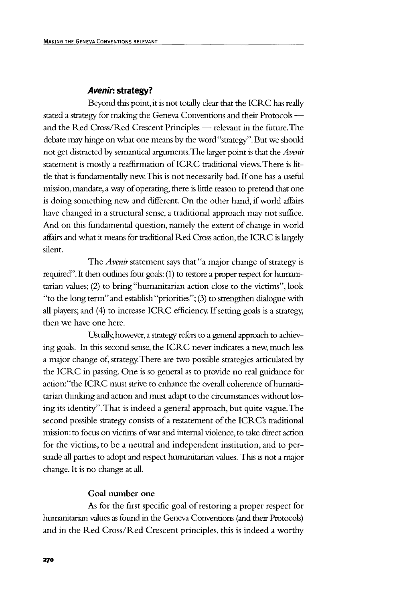## Avenir. strategy?

Beyond this point, it is not totally clear that the ICRC has really stated a strategy for making the Geneva Conventions and their Protocols and the Red Cross/Red Crescent Principles — relevant in the future. The debate may hinge on what one means by the word "strategy". But we should not get distracted by semantical arguments.The larger point is that the *Avenir* statement is mostly a reaffirmation of ICRC traditional views. There is little that is fundamentally new. This is not necessarily bad. If one has a useful mission, mandate, a way of operating, there is little reason to pretend that one is doing something new and different. On the other hand, if world affairs have changed in a structural sense, a traditional approach may not suffice. And on this fundamental question, namely the extent of change in world affairs and what it means for traditional Red Cross action, the ICRC is largely silent.

The *Avenir* statement says that "a major change of strategy is required". It then outlines four goals: (1) to restore a proper respect for humanitarian values; (2) to bring "humanitarian action close to the victims", look "to the long term" and establish "priorities"; (3) to strengthen dialogue with all players; and (4) to increase ICRC efficiency. If setting goals is a strategy, then we have one here.

Usually, however, a strategy refers to a general approach to achieving goals. In this second sense, the ICRC never indicates a new, much less a major change of, strategy. There are two possible strategies articulated by the ICRC in passing. One is so general as to provide no real guidance for action: "the ICRC must strive to enhance the overall coherence of humanitarian thinking and action and must adapt to the circumstances without losing its identity".That is indeed a general approach, but quite vague.The second possible strategy consists of a restatement of the ICRC's traditional mission: to focus on victims of war and internal violence, to take direct action for the victims, to be a neutral and independent institution, and to persuade all parties to adopt and respect humanitarian values. This is not a major change. It is no change at all.

## **Goal number one**

As for the first specific goal of restoring a proper respect for humanitarian values as found in the Geneva Conventions (and their Protocols) and in the Red Cross/Red Crescent principles, this is indeed a worthy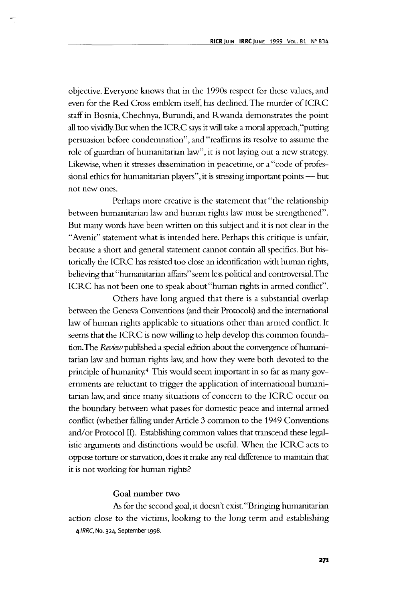objective. Everyone knows that in the 1990s respect for these values, and even for the Red Cross emblem itself, has declined. The murder of ICRC staff in Bosnia, Chechnya, Burundi, and Rwanda demonstrates the point all too vividly. But when the ICRC says it will take a moral approach,"putting persuasion before condemnation", and "reaffirms its resolve to assume the role of guardian of humanitarian law", it is not laying out a new strategy. Likewise, when it stresses dissemination in peacetime, or a "code of professional ethics for humanitarian players", it is stressing important points — but not new ones.

Perhaps more creative is the statement that "the relationship between humanitarian law and human rights law must be strengthened". But many words have been written on this subject and it is not clear in the "Avenir" statement what is intended here. Perhaps this critique is unfair, because a short and general statement cannot contain all specifics. But historically the ICRC has resisted too close an identification with human rights, believing that "humanitarian affairs" seem less political and controversial.The ICRC has not been one to speak about "human rights in armed conflict".

Others have long argued that there is a substantial overlap between the Geneva Conventions (and their Protocols) and the international law of human rights applicable to situations other than armed conflict. It seems that the ICRC is now willing to help develop this common foundation.The *Review* published a special edition about the convergence of humanitarian law and human rights law, and how they were both devoted to the principle of humanity.4 This would seem important in so far as many governments are reluctant to trigger the application of international humanitarian law, and since many situations of concern to the ICRC occur on the boundary between what passes for domestic peace and internal armed conflict (whether falling under Article 3 common to the 1949 Conventions and/or Protocol II). Establishing common values that transcend these legalistic arguments and distinctions would be useful. When the ICRC acts to oppose torture or starvation, does it make any real difference to maintain that it is not working for human rights?

#### **Goal number two**

As for the second goal, it doesn't exist. "Bringing humanitarian action close to the victims, looking to the long term and establishing 4*IRRC,* No. 324, September 1998.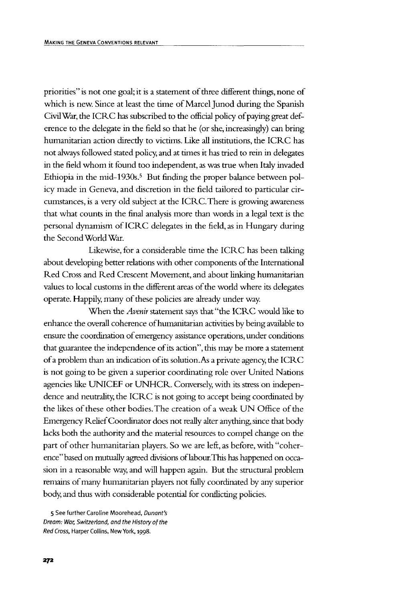priorities" is not one goal; it is a statement of three different things, none of which is new. Since at least the time of Marcel Junod during the Spanish Civil War, the ICRC has subscribed to the official policy of paying great deference to the delegate in the field so that he (or she, increasingly) can bring humanitarian action directly to victims. Like all institutions, the ICRC has not always followed stated policy, and at times it has tried to rein in delegates in the field whom it found too independent, as was true when Italy invaded Ethiopia in the mid-1930s.<sup>5</sup> But finding the proper balance between policy made in Geneva, and discretion in the field tailored to particular circumstances, is a very old subject at the ICRC. There is growing awareness that what counts in the final analysis more than words in a legal text is the personal dynamism of ICRC delegates in the field, as in Hungary during the Second World War.

Likewise, for a considerable time the ICRC has been talking about developing better relations with other components of the International Red Cross and Red Crescent Movement, and about linking humanitarian values to local customs in the different areas of the world where its delegates operate. Happily, many of these policies are already under way.

When the *Avenir* statement says that "the ICRC would like to enhance the overall coherence of humanitarian activities by being available to ensure the coordination of emergency assistance operations, under conditions that guarantee the independence of its action", this may be more a statement of a problem than an indication of its solution. As a private agency, the ICRC is not going to be given a superior coordinating role over United Nations agencies like UNICEF or UNHCR. Conversely, with its stress on independence and neutrality, the ICRC is not going to accept being coordinated by the likes of these other bodies. The creation of a weak UN Office of the Emergency Relief Coordinator does not really alter anything, since that body lacks both the authority and the material resources to compel change on the part of other humanitarian players. So we are left, as before, with "coherence" based on mutually agreed divisions of labour.This has happened on occasion in a reasonable way, and will happen again. But the structural problem remains of many humanitarian players not fully coordinated by any superior body, and thus with considerable potential for conflicting policies.

5 See further Caroline Moorehead, Dunant's Dream: War, Switzerland, and the History of the Red Cross, Harper Collins, New York, 1998.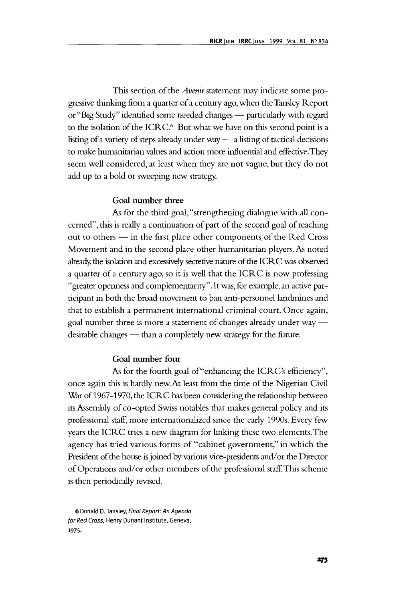This section of the *Avenir* statement may indicate some progressive thinking from a quarter of a century ago, when theTansley Report or "Big Study" identified some needed changes — particularly with regard to the isolation of the ICRC.<sup>6</sup> But what we have on this second point is a listing of a variety of steps already under way — a listing of tactical decisions to make humanitarian values and action more influential and effective.They seem well considered, at least when they are not vague, but they do not add up to a bold or sweeping new strategy.

## **Goal number three**

As for the third goal, "strengthening dialogue with all concerned", this is really a continuation of part of the second goal of reaching out to others — in the first place other components of the Red Cross Movement and in the second place other humanitarian players. As noted already, the isolation and excessively secretive nature of the ICRC was observed a quarter of a century ago, so it is well that the ICRC is now professing "greater openness and complementarity". It was, for example, an active participant in both the broad movement to ban anti-personnel landmines and that to establish a permanent international criminal court. Once again, goal number three is more a statement of changes already under way desirable changes — than a completely new strategy for the future.

#### **Goal number four**

As for the fourth goal of "enhancing the ICRC's efficiency", once again this is hardly new. At least from the time of the Nigerian Civil War of 1967-1970, the ICRC has been considering the relationship between its Assembly of co-opted Swiss notables that makes general policy and its professional staff, more internationalized since the early 1990s. Every few years the ICRC tries a new diagram for linking these two elements. The agency has tried various forms of "cabinet government," in which the President of the house is joined by various vice-presidents and/or the Director of Operations and/or other members of the professional staff. This scheme is then periodically revised.

6 Donald D. Tansley, Final Report: An Agenda for Red Cross, Henry Dunant Institute, Geneva, 1975-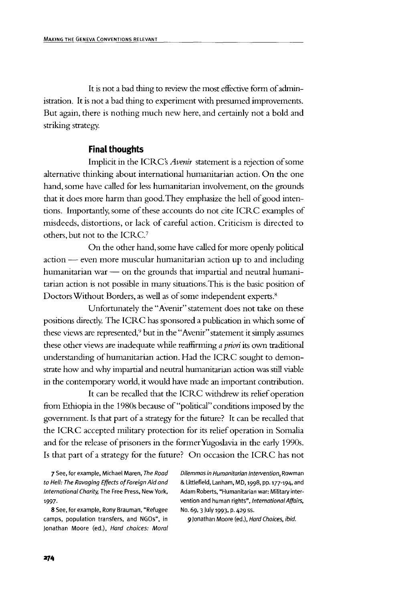It is not a bad thing to review the most effective form of administration. It is not a bad thing to experiment with presumed improvements. But again, there is nothing much new here, and certainly not a bold and striking strategy.

## **Final thoughts**

Implicit in the ICRC's *Avenir* statement is a rejection of some alternative thinking about international humanitarian action. On the one hand, some have called for less humanitarian involvement, on the grounds that it does more harm than good.They emphasize the hell of good intentions. Importantly, some of these accounts do not cite ICRC examples of misdeeds, distortions, or lack of careful action. Criticism is directed to others, but not to the ICRC.<sup>7</sup>

On the other hand, some have called for more openly political action — even more muscular humanitarian action up to and including humanitarian war — on the grounds that impartial and neutral humanitarian action is not possible in many situations.This is the basic position of Doctors Without Borders, as well as of some independent experts.8

Unfortunately the "Avenir" statement does not take on these positions directly. The ICRC has sponsored a publication in which some of these views are represented,<sup>9</sup> but in the "Avenir" statement it simply assumes these other views are inadequate while reaffirming *a priori* its own traditional understanding of humanitarian action. Had the ICRC sought to demonstrate how and why impartial and neutral humanitarian action was still viable in the contemporary world, it would have made an important contribution.

It can be recalled that the ICRC withdrew its relief operation from Ethiopia in the 1980s because of "political" conditions imposed by the government. Is that part of a strategy for the future? It can be recalled that the ICRC accepted military protection for its relief operation in Somalia and for the release of prisoners in the former Yugoslavia in the early 1990s. Is that part of a strategy for the future? On occasion the ICRC has not

7 See, for example, Michael Maren, The Road Dilemmas in Humanitarian Intervention, Rowman to Hell: The Ravaging Effects of Foreign Aid and & Littlefield, Lanham, MD, 1998, pp. 177-194, and International Charity, The Free Press, New York, Adam Roberts, "Humanitarian war: Military inter-1997. vention and human rights", International Affairs,

8 See, for example, Rony Brauman, "Refugee No. 69, 3 July 1993, p. 429 ss. camps, population transfers, and NGOs", in 9 Jonathan Moore (ed.), Hard Choices, ibid. Jonathan Moore (ed.), Hard choices: Moral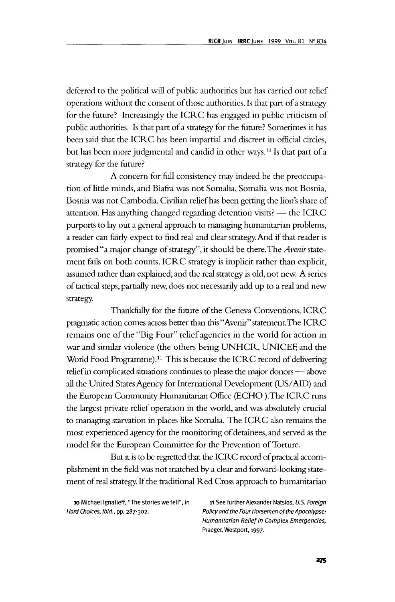deferred to the political will of public authorities but has carried out relief operations without the consent of those authorities. Is that part of a strategy for the future? Increasingly the ICRC has engaged in public criticism of public authorities. Is that part of a strategy for the future? Sometimes it has been said that the ICRC has been impartial and discreet in official circles, but has been more judgmental and candid in other ways.10 Is that part of a strategy for the future?

A concern for full consistency may indeed be the preoccupation of little minds, and Biafra was not Somalia, Somalia was not Bosnia, Bosnia was not Cambodia. Civilian relief has been getting the lion's share of attention. Has anything changed regarding detention visits? — the ICRC purports to lay out a general approach to managing humanitarian problems, a reader can fairly expect to find real and clear strategy. And if that reader is promised "a major change of strategy", it should be there. The *Avenir* statement fails on both counts. ICRC strategy is implicit rather than explicit, assumed rather than explained; and the real strategy is old, not new. A series of tactical steps, partially new, does not necessarily add up to a real and new strategy.

Thankfully for the future of the Geneva Conventions, ICRC pragmatic action comes across better than this "Avenir" statement.The ICRC remains one of the "Big Four" relief agencies in the world for action in war and similar violence (the others being UNHCR, UNICEF, and the World Food Programme).<sup>11</sup> This is because the ICRC record of delivering relief in complicated situations continues to please the major donors — above all the United States Agency for International Development (US/AID) and the European Community Humanitarian Office (ECHO ).The ICRC runs the largest private relief operation in the world, and was absolutely crucial to managing starvation in places like Somalia. The ICRC also remains the most experienced agency for the monitoring of detainees, and served as the model for the European Committee for the Prevention of Torture.

But it is to be regretted that the ICRC record of practical accomplishment in the field was not matched by a clear and forward-looking statement of real strategy. If the traditional Red Cross approach to humanitarian

10 Michael Ignatieff, "The stories we tell", in 11 See further Alexander Natsios, U.S. Foreign Humanitarian Relief in Complex Emergencies, Praeger, Westport, 1997.

Hard Choices, ibid., pp. 287-302. Policy and the Four Horsemen of the Apocalypse: